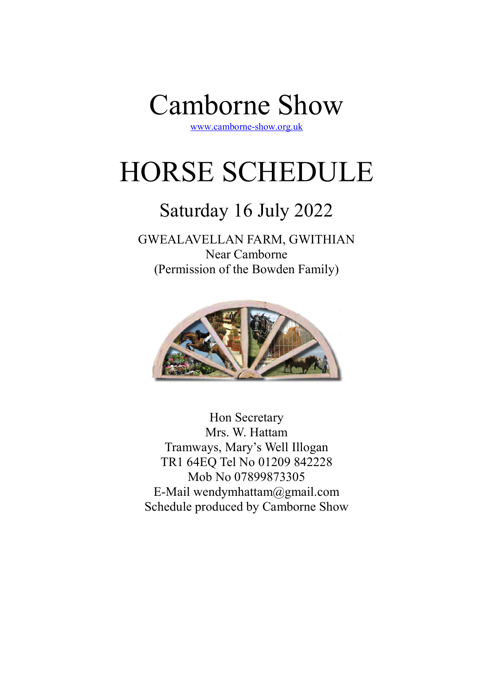

www.camborne-show.org.uk

# HORSE SCHEDULE

## Saturday 16 July 2022

## GWEALAVELLAN FARM, GWITHIAN Near Camborne (Permission of the Bowden Family)



Hon Secretary Mrs. W. Hattam Tramways, Mary's Well Illogan TR1 64EQ Tel No 01209 842228 Mob No 07899873305 E-Mail wendymhattam@gmail.com Schedule produced by Camborne Show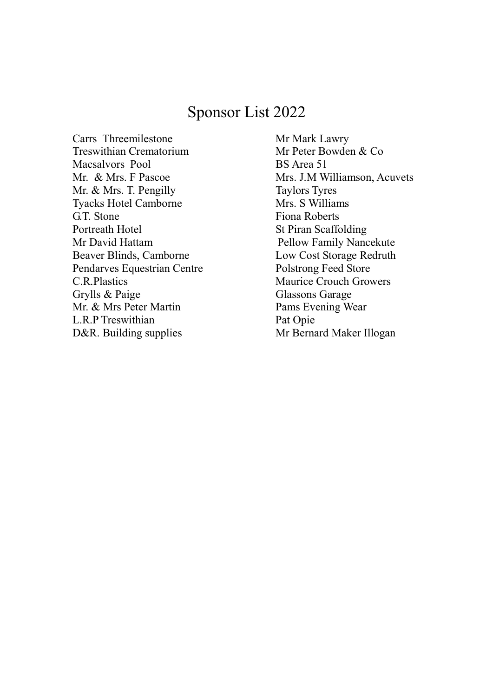## Sponsor List 2022

Carrs Threemilestone Mr Mark Lawry Treswithian Crematorium Mr Peter Bowden & Co Macsalvors Pool BS Area 51 Mr. & Mrs. T. Pengilly Taylors Tyres Tyacks Hotel Camborne Mrs. S Williams G.T. Stone Fiona Roberts Portreath Hotel St Piran Scaffolding Mr David Hattam Pellow Family Nancekute Beaver Blinds, Camborne Low Cost Storage Redruth Pendarves Equestrian Centre Polstrong Feed Store C.R.Plastics Maurice Crouch Growers Grylls & Paige Glassons Garage Mr. & Mrs Peter Martin Pams Evening Wear L.R.P Treswithian Pat Opie D&R. Building supplies Mr Bernard Maker Illogan

Mr. & Mrs. F Pascoe Mrs. J.M Williamson, Acuvets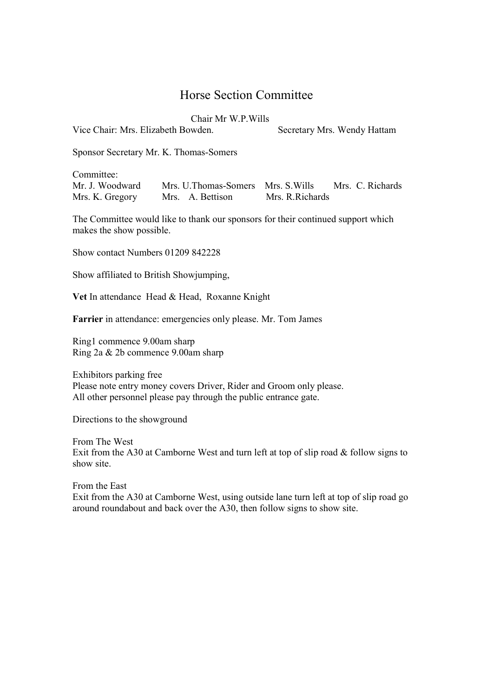## Horse Section Committee

Chair Mr W.P.Wills

Vice Chair: Mrs. Elizabeth Bowden. Secretary Mrs. Wendy Hattam

Sponsor Secretary Mr. K. Thomas-Somers

Committee:

Mr. J. Woodward Mrs. U.Thomas-Somers Mrs. S.Wills Mrs. C. Richards Mrs. K. Gregory Mrs. A. Bettison Mrs. R.Richards

The Committee would like to thank our sponsors for their continued support which makes the show possible.

Show contact Numbers 01209 842228

Show affiliated to British Showjumping,

Vet In attendance Head & Head, Roxanne Knight

Farrier in attendance: emergencies only please. Mr. Tom James

Ring1 commence 9.00am sharp Ring 2a & 2b commence 9.00am sharp

Exhibitors parking free Please note entry money covers Driver, Rider and Groom only please. All other personnel please pay through the public entrance gate.

Directions to the showground

From The West Exit from the A30 at Camborne West and turn left at top of slip road & follow signs to show site.

From the East Exit from the A30 at Camborne West, using outside lane turn left at top of slip road go around roundabout and back over the A30, then follow signs to show site.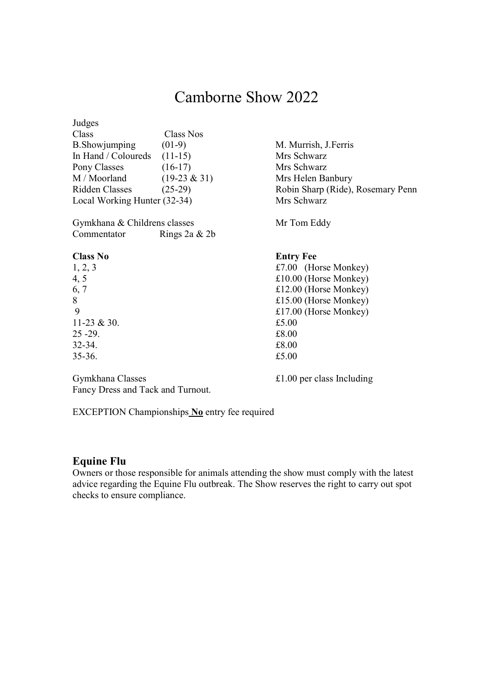## Camborne Show 2022

| Judges                       |                  |                                   |  |
|------------------------------|------------------|-----------------------------------|--|
| Class                        | <b>Class Nos</b> |                                   |  |
| <b>B.</b> Showjumping        | $(01-9)$         | M. Murrish, J. Ferris             |  |
| In Hand / Coloureds          | $(11-15)$        | Mrs Schwarz                       |  |
| Pony Classes                 | $(16-17)$        | Mrs Schwarz                       |  |
| M / Moorland                 | $(19-23 & 31)$   | Mrs Helen Banbury                 |  |
| Ridden Classes               | $(25-29)$        | Robin Sharp (Ride), Rosemary Penn |  |
| Local Working Hunter (32-34) |                  | Mrs Schwarz                       |  |
| Gymkhana & Childrens classes |                  | Mr Tom Eddy                       |  |
| Commentator                  | Rings $2a \& 2b$ |                                   |  |
| <b>Class No</b>              |                  | <b>Entry Fee</b>                  |  |
| 1, 2, 3                      |                  | £7.00 (Horse Monkey)              |  |
| 4, 5                         |                  | £10.00 (Horse Monkey)             |  |
| 6, 7                         |                  | £12.00 (Horse Monkey)             |  |
| 8                            |                  | £15.00 (Horse Monkey)             |  |
| 9                            |                  | £17.00 (Horse Monkey)             |  |
| 11-23 $& 30.$                |                  | £5.00                             |  |
| 25 -29.                      |                  | £8.00                             |  |
| 32-34.                       |                  | £8.00                             |  |
| 35-36.                       |                  | £5.00                             |  |
|                              |                  |                                   |  |

Gymkhana Classes  $\text{£}1.00 \text{ per class Including}$ Fancy Dress and Tack and Turnout.

EXCEPTION Championships No entry fee required

#### Equine Flu

Owners or those responsible for animals attending the show must comply with the latest advice regarding the Equine Flu outbreak. The Show reserves the right to carry out spot checks to ensure compliance.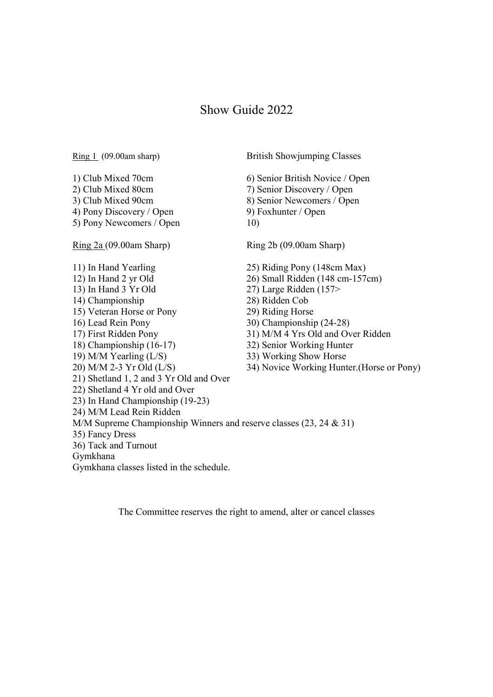### Show Guide 2022

Ring 1 (09.00am sharp) British Showjumping Classes 1) Club Mixed 70cm 6) Senior British Novice / Open 2) Club Mixed 80cm 7) Senior Discovery / Open 3) Club Mixed 90cm 8) Senior Newcomers / Open 4) Pony Discovery / Open 9) Foxhunter / Open 5) Pony Newcomers / Open 10) Ring 2a (09.00am Sharp) Ring 2b (09.00am Sharp) 11) In Hand Yearling 25) Riding Pony (148cm Max)<br>12) In Hand 2 yr Old 26) Small Ridden (148 cm-157  $26)$  Small Ridden (148 cm-157cm) 13) In Hand 3 Yr Old 27) Large Ridden (157> 14) Championship 28) Ridden Cob 15) Veteran Horse or Pony 29) Riding Horse 16) Lead Rein Pony 30) Championship (24-28) 17) First Ridden Pony 31) M/M 4 Yrs Old and Over Ridden 18) Championship (16-17) 32) Senior Working Hunter 19) M/M Yearling (L/S) 33) Working Show Horse 20) M/M 2-3 Yr Old (L/S) 34) Novice Working Hunter.(Horse or Pony) 21) Shetland 1, 2 and 3 Yr Old and Over 22) Shetland 4 Yr old and Over 23) In Hand Championship (19-23) 24) M/M Lead Rein Ridden M/M Supreme Championship Winners and reserve classes (23, 24 & 31) 35) Fancy Dress 36) Tack and Turnout Gymkhana Gymkhana classes listed in the schedule.

The Committee reserves the right to amend, alter or cancel classes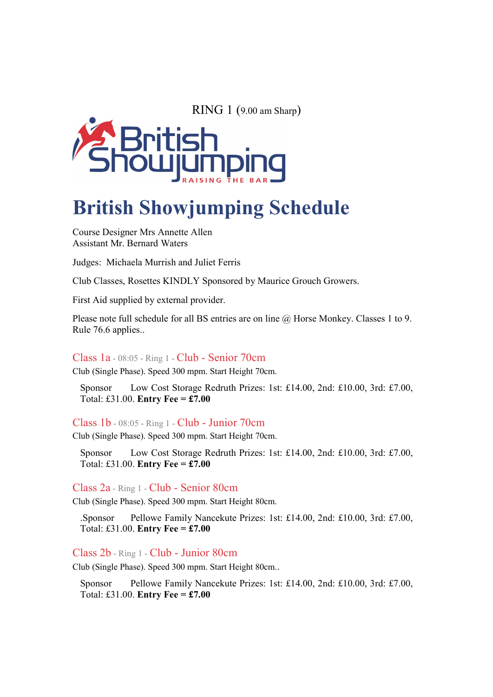RING 1 (9.00 am Sharp)



## British Showjumping Schedule

Course Designer Mrs Annette Allen Assistant Mr. Bernard Waters

Judges: Michaela Murrish and Juliet Ferris

Club Classes, Rosettes KINDLY Sponsored by Maurice Grouch Growers.

First Aid supplied by external provider.

Please note full schedule for all BS entries are on line @ Horse Monkey. Classes 1 to 9. Rule 76.6 applies..

#### Class 1a - 08:05 - Ring 1 - Club - Senior 70cm

Club (Single Phase). Speed 300 mpm. Start Height 70cm.

Sponsor Low Cost Storage Redruth Prizes: 1st: £14.00, 2nd: £10.00, 3rd: £7.00, Total: £31.00. Entry Fee =  $\pounds$ 7.00

Class 1b - 08:05 - Ring 1 - Club - Junior 70cm

Club (Single Phase). Speed 300 mpm. Start Height 70cm.

Sponsor Low Cost Storage Redruth Prizes: 1st: £14.00, 2nd: £10.00, 3rd: £7.00, Total: £31.00. Entry Fee = £7.00

#### Class 2a - Ring 1 - Club - Senior 80cm

Club (Single Phase). Speed 300 mpm. Start Height 80cm.

.Sponsor Pellowe Family Nancekute Prizes: 1st: £14.00, 2nd: £10.00, 3rd: £7.00, Total: £31.00. Entry Fee = £7.00

#### Class 2b - Ring 1 - Club - Junior 80cm

Club (Single Phase). Speed 300 mpm. Start Height 80cm..

Sponsor Pellowe Family Nancekute Prizes: 1st: £14.00, 2nd: £10.00, 3rd: £7.00, Total: £31.00. Entry Fee =  $£7.00$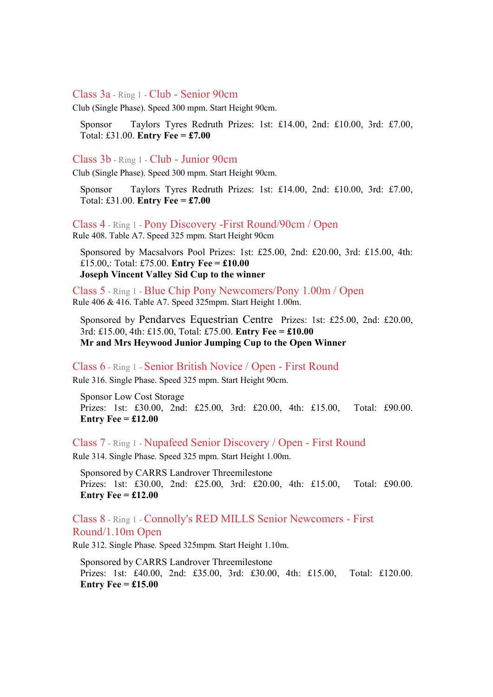#### Class 3a - Ring 1 - Club - Senior 90cm

Club (Single Phase). Speed 300 mpm. Start Height 90cm.

Sponsor Taylors Tyres Redruth Prizes: 1st: £14.00, 2nd: £10.00, 3rd: £7.00, Total: £31.00. Entry Fee = £7.00

#### Class 3b - Ring 1 - Club - Junior 90cm

Club (Single Phase). Speed 300 mpm. Start Height 90cm.

Sponsor Taylors Tyres Redruth Prizes: 1st: £14.00, 2nd: £10.00, 3rd: £7.00, Total: £31.00. Entry Fee = £7.00

Class 4 - Ring 1 - Pony Discovery -First Round/90cm / Open

Rule 408. Table A7. Speed 325 mpm. Start Height 90cm

Sponsored by Macsalvors Pool Prizes: 1st: £25.00, 2nd: £20.00, 3rd: £15.00, 4th: £15.00,: Total: £75.00. Entry Fee =  $£10.00$ Joseph Vincent Valley Sid Cup to the winner

Class 5 - Ring 1 - Blue Chip Pony Newcomers/Pony 1.00m / Open Rule 406 & 416. Table A7. Speed 325mpm. Start Height 1.00m.

Sponsored by Pendarves Equestrian Centre Prizes: 1st: £25.00, 2nd: £20.00, 3rd: £15.00, 4th: £15.00, Total: £75.00. **Entry Fee = £10.00** Mr and Mrs Heywood Junior Jumping Cup to the Open Winner

Class 6 - Ring 1 - Senior British Novice / Open - First Round

Rule 316. Single Phase. Speed 325 mpm. Start Height 90cm.

Sponsor Low Cost Storage Prizes: 1st: £30.00, 2nd: £25.00, 3rd: £20.00, 4th: £15.00, Total: £90.00. Entry Fee  $=$  £12.00

Class 7 - Ring 1 - Nupafeed Senior Discovery / Open - First Round

Rule 314. Single Phase. Speed 325 mpm. Start Height 1.00m.

Sponsored by CARRS Landrover Threemilestone Prizes: 1st: £30.00, 2nd: £25.00, 3rd: £20.00, 4th: £15.00, Total: £90.00. Entry Fee =  $\pounds 12.00$ 

Class 8 - Ring 1 - Connolly's RED MILLS Senior Newcomers - First Round/1.10m Open

Rule 312. Single Phase. Speed 325mpm. Start Height 1.10m.

Sponsored by CARRS Landrover Threemilestone Prizes: 1st: £40.00, 2nd: £35.00, 3rd: £30.00, 4th: £15.00, Total: £120.00. Entry Fee  $=$  £15.00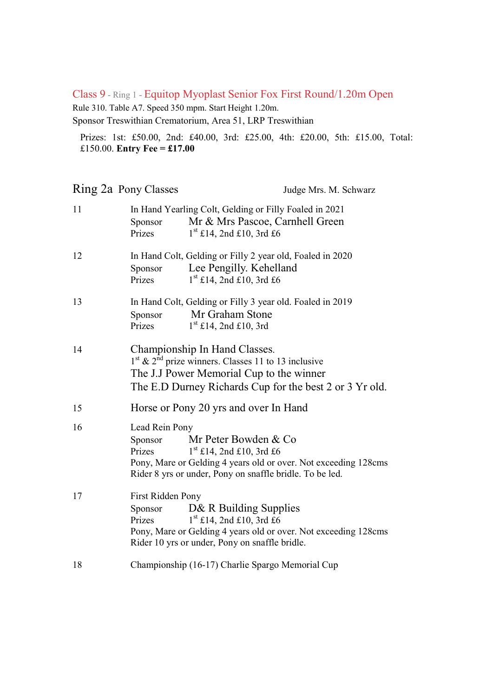#### Class 9 - Ring 1 - Equitop Myoplast Senior Fox First Round/1.20m Open

Rule 310. Table A7. Speed 350 mpm. Start Height 1.20m.

Sponsor Treswithian Crematorium, Area 51, LRP Treswithian

Prizes: 1st: £50.00, 2nd: £40.00, 3rd: £25.00, 4th: £20.00, 5th: £15.00, Total: £150.00. Entry Fee =  $£17.00$ 

|    | Ring 2a Pony Classes                   | Judge Mrs. M. Schwarz                                                                                                                                                                           |  |  |
|----|----------------------------------------|-------------------------------------------------------------------------------------------------------------------------------------------------------------------------------------------------|--|--|
| 11 | Sponsor<br>Prizes                      | In Hand Yearling Colt, Gelding or Filly Foaled in 2021<br>Mr & Mrs Pascoe, Carnhell Green<br>$1st$ £14, 2nd £10, 3rd £6                                                                         |  |  |
| 12 | Sponsor<br>Prizes                      | In Hand Colt, Gelding or Filly 2 year old, Foaled in 2020<br>Lee Pengilly. Kehelland<br>$1st$ £14, 2nd £10, 3rd £6                                                                              |  |  |
| 13 | Sponsor<br>Prizes                      | In Hand Colt, Gelding or Filly 3 year old. Foaled in 2019<br>Mr Graham Stone<br>$1st$ £14, 2nd £10, 3rd                                                                                         |  |  |
| 14 |                                        | Championship In Hand Classes.<br>$1st$ & $2nd$ prize winners. Classes 11 to 13 inclusive<br>The J.J Power Memorial Cup to the winner<br>The E.D Durney Richards Cup for the best 2 or 3 Yr old. |  |  |
| 15 |                                        | Horse or Pony 20 yrs and over In Hand                                                                                                                                                           |  |  |
| 16 | Lead Rein Pony<br>Sponsor<br>Prizes    | Mr Peter Bowden & Co<br>$1st$ £14, 2nd £10, 3rd £6<br>Pony, Mare or Gelding 4 years old or over. Not exceeding 128cms<br>Rider 8 yrs or under, Pony on snaffle bridle. To be led.               |  |  |
| 17 | First Ridden Pony<br>Sponsor<br>Prizes | D& R Building Supplies<br>$1st$ £14, 2nd £10, 3rd £6<br>Pony, Mare or Gelding 4 years old or over. Not exceeding 128cms<br>Rider 10 yrs or under, Pony on snaffle bridle.                       |  |  |
| 18 |                                        | Championship (16-17) Charlie Spargo Memorial Cup                                                                                                                                                |  |  |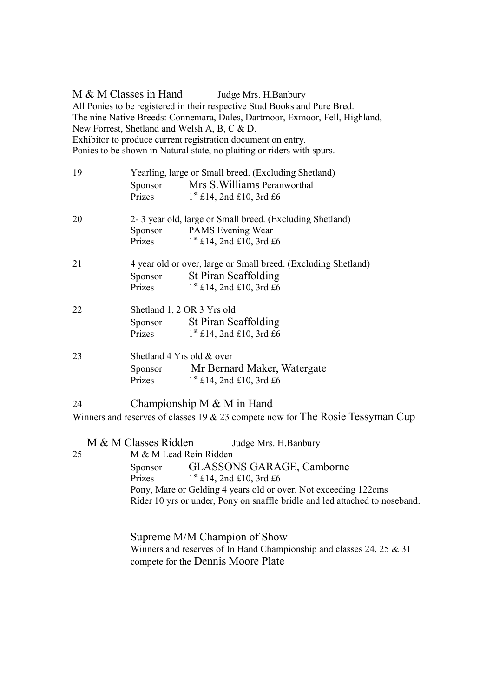M & M Classes in Hand Judge Mrs. H.Banbury All Ponies to be registered in their respective Stud Books and Pure Bred. The nine Native Breeds: Connemara, Dales, Dartmoor, Exmoor, Fell, Highland, New Forrest, Shetland and Welsh A, B, C & D. Exhibitor to produce current registration document on entry. Ponies to be shown in Natural state, no plaiting or riders with spurs.

| 19 | Yearling, large or Small breed. (Excluding Shetland)           |                                                                                   |  |  |
|----|----------------------------------------------------------------|-----------------------------------------------------------------------------------|--|--|
|    | Sponsor                                                        | Mrs S. Williams Peranworthal                                                      |  |  |
|    | Prizes                                                         | $1st$ £14, 2nd £10, 3rd £6                                                        |  |  |
| 20 | 2-3 year old, large or Small breed. (Excluding Shetland)       |                                                                                   |  |  |
|    |                                                                | Sponsor PAMS Evening Wear                                                         |  |  |
|    | Prizes                                                         | $1st$ £14, 2nd £10, 3rd £6                                                        |  |  |
| 21 | 4 year old or over, large or Small breed. (Excluding Shetland) |                                                                                   |  |  |
|    | Sponsor                                                        | St Piran Scaffolding                                                              |  |  |
|    | Prizes                                                         | $1st$ £14, 2nd £10, 3rd £6                                                        |  |  |
| 22 | Shetland 1, 2 OR 3 Yrs old                                     |                                                                                   |  |  |
|    |                                                                | Sponsor St Piran Scaffolding                                                      |  |  |
|    | Prizes                                                         | $1st$ £14, 2nd £10, 3rd £6                                                        |  |  |
| 23 | Shetland 4 Yrs old & over                                      |                                                                                   |  |  |
|    | Sponsor                                                        | Mr Bernard Maker, Watergate                                                       |  |  |
|    | Prizes                                                         | $1st$ £14, 2nd £10, 3rd £6                                                        |  |  |
| 24 | Championship M $&$ M in Hand                                   |                                                                                   |  |  |
|    |                                                                | Winners and reserves of classes 19 $\&$ 23 compete now for The Rosie Tessyman Cup |  |  |
|    | M & M Classes Ridden                                           |                                                                                   |  |  |
|    |                                                                | Judge Mrs. H.Banbury                                                              |  |  |
| 25 | M & M Lead Rein Ridden                                         |                                                                                   |  |  |
|    |                                                                | Sponsor GLASSONS GARAGE, Camborne                                                 |  |  |
|    | Prizes                                                         | $1st$ £14, 2nd £10, 3rd £6                                                        |  |  |

Pony, Mare or Gelding 4 years old or over. Not exceeding 122cms Rider 10 yrs or under, Pony on snaffle bridle and led attached to noseband.

 Supreme M/M Champion of Show Winners and reserves of In Hand Championship and classes 24, 25 & 31 compete for the Dennis Moore Plate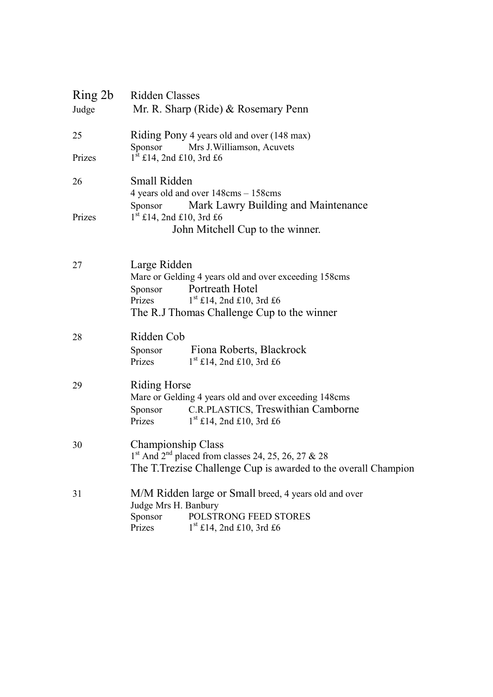| Ring 2b<br>Judge | Ridden Classes<br>Mr. R. Sharp (Ride) & Rosemary Penn                                                                      |  |  |  |
|------------------|----------------------------------------------------------------------------------------------------------------------------|--|--|--|
| 25               | Riding Pony 4 years old and over (148 max)<br>Sponsor<br>Mrs J. Williamson, Acuvets                                        |  |  |  |
| Prizes           | $1st$ £14, 2nd £10, 3rd £6                                                                                                 |  |  |  |
| 26               | Small Ridden<br>4 years old and over 148cms - 158cms                                                                       |  |  |  |
| Prizes           | Mark Lawry Building and Maintenance<br>Sponsor<br>$1^{\text{st}}$ £14, 2nd £10, 3rd £6                                     |  |  |  |
|                  | John Mitchell Cup to the winner.                                                                                           |  |  |  |
| 27               | Large Ridden<br>Mare or Gelding 4 years old and over exceeding 158cms                                                      |  |  |  |
|                  | Portreath Hotel<br>Sponsor<br>$1st$ £14, 2nd £10, 3rd £6<br>Prizes                                                         |  |  |  |
|                  | The R.J Thomas Challenge Cup to the winner                                                                                 |  |  |  |
| 28               | Ridden Cob                                                                                                                 |  |  |  |
|                  | Fiona Roberts, Blackrock<br>Sponsor<br>$1st$ £14, 2nd £10, 3rd £6<br>Prizes                                                |  |  |  |
| 29               | Riding Horse<br>Mare or Gelding 4 years old and over exceeding 148cms                                                      |  |  |  |
|                  | C.R.PLASTICS, Treswithian Camborne<br>Sponsor<br>$1st$ £14, 2nd £10, 3rd £6<br>Prizes                                      |  |  |  |
| 30               | Championship Class                                                                                                         |  |  |  |
|                  | $1st$ And $2nd$ placed from classes 24, 25, 26, 27 & 28<br>The T. Trezise Challenge Cup is awarded to the overall Champion |  |  |  |
| 31               | M/M Ridden large or Small breed, 4 years old and over                                                                      |  |  |  |
|                  | Judge Mrs H. Banbury<br>POLSTRONG FEED STORES<br>Sponsor                                                                   |  |  |  |
|                  | Prizes<br>$1st$ £14, 2nd £10, 3rd £6                                                                                       |  |  |  |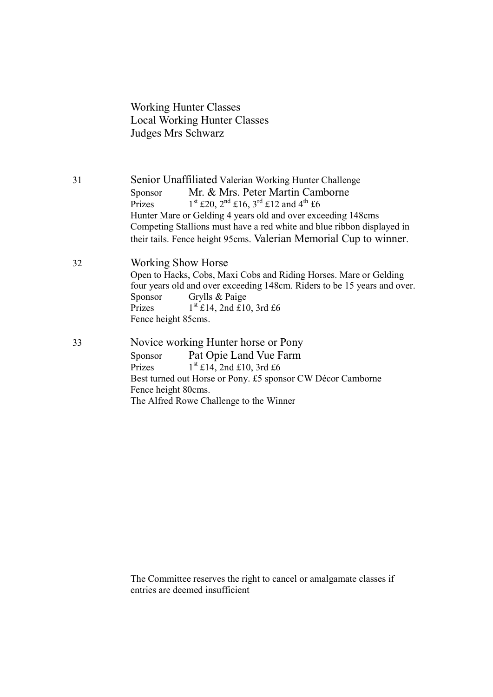Working Hunter Classes Local Working Hunter Classes Judges Mrs Schwarz

31 Senior Unaffiliated Valerian Working Hunter Challenge Sponsor Mr. & Mrs. Peter Martin Camborne<br>Prizes  $1^{st}$  £20,  $2^{nd}$  £16,  $3^{rd}$  £12 and  $4^{th}$  £6  $1<sup>st</sup>$  £20,  $2<sup>nd</sup>$  £16,  $3<sup>rd</sup>$  £12 and 4<sup>th</sup> £6 Hunter Mare or Gelding 4 years old and over exceeding 148cms Competing Stallions must have a red white and blue ribbon displayed in their tails. Fence height 95cms. Valerian Memorial Cup to winner.

32 Working Show Horse Open to Hacks, Cobs, Maxi Cobs and Riding Horses. Mare or Gelding four years old and over exceeding 148cm. Riders to be 15 years and over. Sponsor Grylls & Paige Prizes  $1^{st}$  £14, 2nd £10, 3rd £6 Fence height 85cms.

33 Novice working Hunter horse or Pony Sponsor Pat Opie Land Vue Farm Prizes  $1^{st}$  £14, 2nd £10, 3rd £6 Best turned out Horse or Pony. £5 sponsor CW Décor Camborne Fence height 80cms. The Alfred Rowe Challenge to the Winner

> The Committee reserves the right to cancel or amalgamate classes if entries are deemed insufficient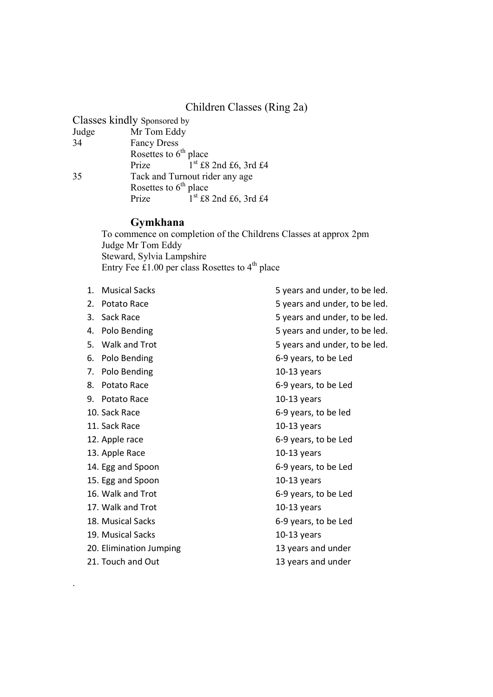#### Children Classes (Ring 2a)

| Mr Tom Eddy                    |                                                        |  |
|--------------------------------|--------------------------------------------------------|--|
| <b>Fancy Dress</b>             |                                                        |  |
| Rosettes to $6th$ place        |                                                        |  |
| Prize                          | $1st$ £8 2nd £6, 3rd £4                                |  |
| Tack and Turnout rider any age |                                                        |  |
|                                |                                                        |  |
| Prize                          | $1st$ £8 2nd £6, 3rd £4                                |  |
|                                | Classes kindly Sponsored by<br>Rosettes to $6th$ place |  |

#### Gymkhana

To commence on completion of the Childrens Classes at approx 2pm Judge Mr Tom Eddy Steward, Sylvia Lampshire Entry Fee  $\pounds$ 1.00 per class Rosettes to 4<sup>th</sup> place

- 
- 
- 
- 
- 
- 
- 7. Polo Bending 2012 10-13 years
- 
- 9. Potato Race 10-13 years
- 
- 
- 
- 13. Apple Race 10-13 years
- 
- 15. Egg and Spoon 10-13 years
- 
- 17. Walk and Trot 10-13 years
- 
- 
- 
- 21. Touch and Out 13 years and under

.

1. Musical Sacks **5 years and under, to be led.** 2. Potato Race 5 years and under, to be led. 3. Sack Race 5 years and under, to be led. 4. Polo Bending **1. All 2008** Syears and under, to be led. 5. Walk and Trot 5 years and under, to be led. 6. Polo Bending 6-9 years, to be Led 8. Potato Race 6-9 years, to be Led 10. Sack Race 6-9 years, to be led 11. Sack Race 10-13 years 12. Apple race 6-9 years, to be Led 14. Egg and Spoon 6-9 years, to be Led 16. Walk and Trot 6-9 years, to be Led 18. Musical Sacks 6-9 years, to be Led 19. Musical Sacks 10-13 years 20. Elimination Jumping 13 years and under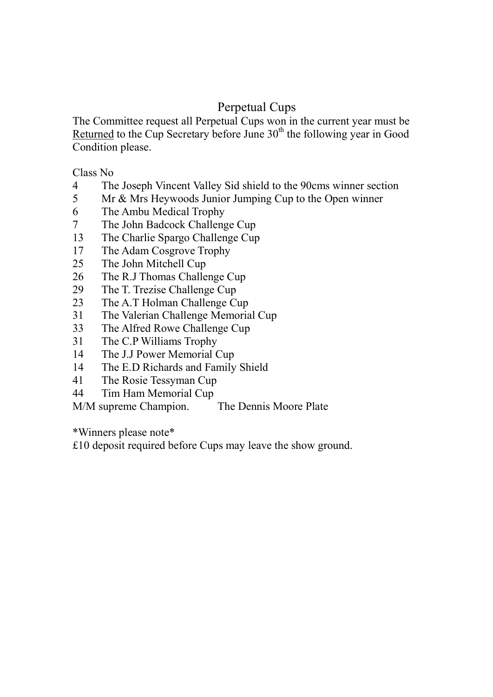## Perpetual Cups

The Committee request all Perpetual Cups won in the current year must be Returned to the Cup Secretary before June  $30<sup>th</sup>$  the following year in Good Condition please.

Class No

- 4 The Joseph Vincent Valley Sid shield to the 90cms winner section
- 5 Mr & Mrs Heywoods Junior Jumping Cup to the Open winner
- 6 The Ambu Medical Trophy
- 7 The John Badcock Challenge Cup
- 13 The Charlie Spargo Challenge Cup
- 17 The Adam Cosgrove Trophy
- 25 The John Mitchell Cup
- 26 The R.J Thomas Challenge Cup
- 29 The T. Trezise Challenge Cup
- 23 The A.T Holman Challenge Cup
- 31 The Valerian Challenge Memorial Cup
- 33 The Alfred Rowe Challenge Cup
- 31 The C.P Williams Trophy
- 14 The J.J Power Memorial Cup
- 14 The E.D Richards and Family Shield
- 41 The Rosie Tessyman Cup
- 44 Tim Ham Memorial Cup

M/M supreme Champion. The Dennis Moore Plate

\*Winners please note\*

£10 deposit required before Cups may leave the show ground.